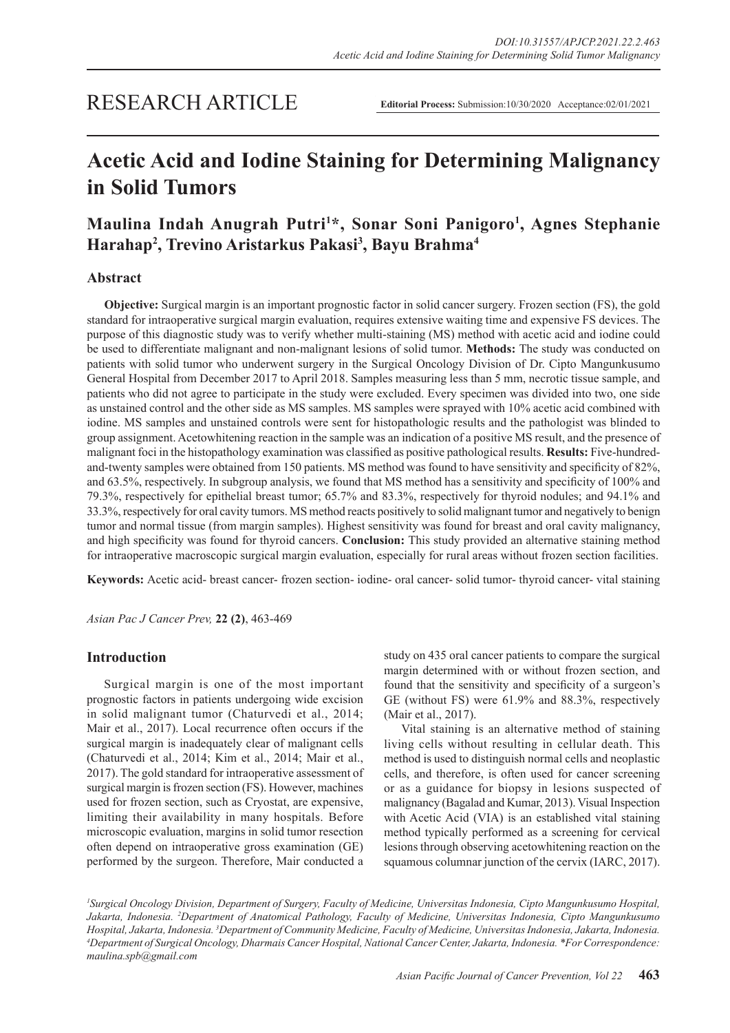# RESEARCH ARTICLE

# **Acetic Acid and Iodine Staining for Determining Malignancy in Solid Tumors**

## **Maulina Indah Anugrah Putri1 \*, Sonar Soni Panigoro1 , Agnes Stephanie Harahap2 , Trevino Aristarkus Pakasi3 , Bayu Brahma4**

## **Abstract**

**Objective:** Surgical margin is an important prognostic factor in solid cancer surgery. Frozen section (FS), the gold standard for intraoperative surgical margin evaluation, requires extensive waiting time and expensive FS devices. The purpose of this diagnostic study was to verify whether multi-staining (MS) method with acetic acid and iodine could be used to differentiate malignant and non-malignant lesions of solid tumor. **Methods:** The study was conducted on patients with solid tumor who underwent surgery in the Surgical Oncology Division of Dr. Cipto Mangunkusumo General Hospital from December 2017 to April 2018. Samples measuring less than 5 mm, necrotic tissue sample, and patients who did not agree to participate in the study were excluded. Every specimen was divided into two, one side as unstained control and the other side as MS samples. MS samples were sprayed with 10% acetic acid combined with iodine. MS samples and unstained controls were sent for histopathologic results and the pathologist was blinded to group assignment. Acetowhitening reaction in the sample was an indication of a positive MS result, and the presence of malignant foci in the histopathology examination was classified as positive pathological results. **Results:** Five-hundredand-twenty samples were obtained from 150 patients. MS method was found to have sensitivity and specificity of 82%, and 63.5%, respectively. In subgroup analysis, we found that MS method has a sensitivity and specificity of 100% and 79.3%, respectively for epithelial breast tumor; 65.7% and 83.3%, respectively for thyroid nodules; and 94.1% and 33.3%, respectively for oral cavity tumors. MS method reacts positively to solid malignant tumor and negatively to benign tumor and normal tissue (from margin samples). Highest sensitivity was found for breast and oral cavity malignancy, and high specificity was found for thyroid cancers. **Conclusion:** This study provided an alternative staining method for intraoperative macroscopic surgical margin evaluation, especially for rural areas without frozen section facilities.

**Keywords:** Acetic acid- breast cancer- frozen section- iodine- oral cancer- solid tumor- thyroid cancer- vital staining

*Asian Pac J Cancer Prev,* **22 (2)**, 463-469

## **Introduction**

Surgical margin is one of the most important prognostic factors in patients undergoing wide excision in solid malignant tumor (Chaturvedi et al., 2014; Mair et al., 2017). Local recurrence often occurs if the surgical margin is inadequately clear of malignant cells (Chaturvedi et al., 2014; Kim et al., 2014; Mair et al., 2017). The gold standard for intraoperative assessment of surgical margin is frozen section (FS). However, machines used for frozen section, such as Cryostat, are expensive, limiting their availability in many hospitals. Before microscopic evaluation, margins in solid tumor resection often depend on intraoperative gross examination (GE) performed by the surgeon. Therefore, Mair conducted a study on 435 oral cancer patients to compare the surgical margin determined with or without frozen section, and found that the sensitivity and specificity of a surgeon's GE (without FS) were 61.9% and 88.3%, respectively (Mair et al., 2017).

Vital staining is an alternative method of staining living cells without resulting in cellular death. This method is used to distinguish normal cells and neoplastic cells, and therefore, is often used for cancer screening or as a guidance for biopsy in lesions suspected of malignancy (Bagalad and Kumar, 2013). Visual Inspection with Acetic Acid (VIA) is an established vital staining method typically performed as a screening for cervical lesions through observing acetowhitening reaction on the squamous columnar junction of the cervix (IARC, 2017).

*1 Surgical Oncology Division, Department of Surgery, Faculty of Medicine, Universitas Indonesia, Cipto Mangunkusumo Hospital, Jakarta, Indonesia. 2 Department of Anatomical Pathology, Faculty of Medicine, Universitas Indonesia, Cipto Mangunkusumo Hospital, Jakarta, Indonesia. 3 Department of Community Medicine, Faculty of Medicine, Universitas Indonesia, Jakarta, Indonesia. 4 Department of Surgical Oncology, Dharmais Cancer Hospital, National Cancer Center, Jakarta, Indonesia. \*For Correspondence: maulina.spb@gmail.com*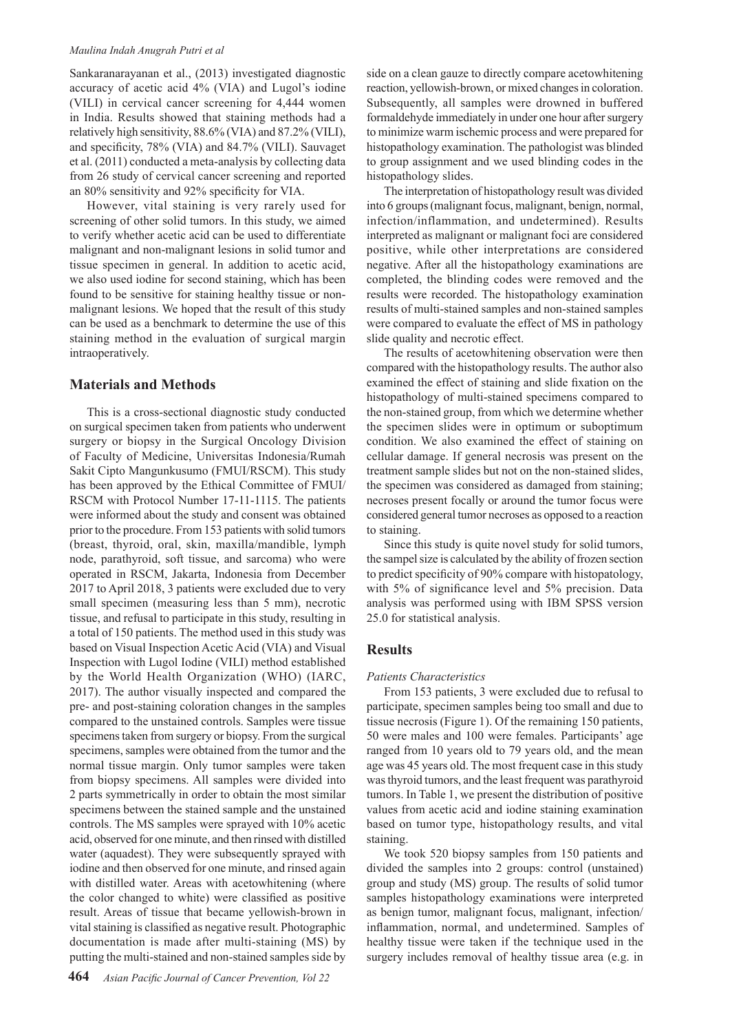#### *Maulina Indah Anugrah Putri et al*

Sankaranarayanan et al., (2013) investigated diagnostic accuracy of acetic acid 4% (VIA) and Lugol's iodine (VILI) in cervical cancer screening for 4,444 women in India. Results showed that staining methods had a relatively high sensitivity, 88.6% (VIA) and 87.2% (VILI), and specificity, 78% (VIA) and 84.7% (VILI). Sauvaget et al. (2011) conducted a meta-analysis by collecting data from 26 study of cervical cancer screening and reported an 80% sensitivity and 92% specificity for VIA.

However, vital staining is very rarely used for screening of other solid tumors. In this study, we aimed to verify whether acetic acid can be used to differentiate malignant and non-malignant lesions in solid tumor and tissue specimen in general. In addition to acetic acid, we also used iodine for second staining, which has been found to be sensitive for staining healthy tissue or nonmalignant lesions. We hoped that the result of this study can be used as a benchmark to determine the use of this staining method in the evaluation of surgical margin intraoperatively.

#### **Materials and Methods**

This is a cross-sectional diagnostic study conducted on surgical specimen taken from patients who underwent surgery or biopsy in the Surgical Oncology Division of Faculty of Medicine, Universitas Indonesia/Rumah Sakit Cipto Mangunkusumo (FMUI/RSCM). This study has been approved by the Ethical Committee of FMUI/ RSCM with Protocol Number 17-11-1115. The patients were informed about the study and consent was obtained prior to the procedure. From 153 patients with solid tumors (breast, thyroid, oral, skin, maxilla/mandible, lymph node, parathyroid, soft tissue, and sarcoma) who were operated in RSCM, Jakarta, Indonesia from December 2017 to April 2018, 3 patients were excluded due to very small specimen (measuring less than 5 mm), necrotic tissue, and refusal to participate in this study, resulting in a total of 150 patients. The method used in this study was based on Visual Inspection Acetic Acid (VIA) and Visual Inspection with Lugol Iodine (VILI) method established by the World Health Organization (WHO) (IARC, 2017). The author visually inspected and compared the pre- and post-staining coloration changes in the samples compared to the unstained controls. Samples were tissue specimens taken from surgery or biopsy. From the surgical specimens, samples were obtained from the tumor and the normal tissue margin. Only tumor samples were taken from biopsy specimens. All samples were divided into 2 parts symmetrically in order to obtain the most similar specimens between the stained sample and the unstained controls. The MS samples were sprayed with 10% acetic acid, observed for one minute, and then rinsed with distilled water (aquadest). They were subsequently sprayed with iodine and then observed for one minute, and rinsed again with distilled water. Areas with acetowhitening (where the color changed to white) were classified as positive result. Areas of tissue that became yellowish-brown in vital staining is classified as negative result. Photographic documentation is made after multi-staining (MS) by putting the multi-stained and non-stained samples side by

side on a clean gauze to directly compare acetowhitening reaction, yellowish-brown, or mixed changes in coloration. Subsequently, all samples were drowned in buffered formaldehyde immediately in under one hour after surgery to minimize warm ischemic process and were prepared for histopathology examination. The pathologist was blinded to group assignment and we used blinding codes in the histopathology slides.

The interpretation of histopathology result was divided into 6 groups (malignant focus, malignant, benign, normal, infection/inflammation, and undetermined). Results interpreted as malignant or malignant foci are considered positive, while other interpretations are considered negative. After all the histopathology examinations are completed, the blinding codes were removed and the results were recorded. The histopathology examination results of multi-stained samples and non-stained samples were compared to evaluate the effect of MS in pathology slide quality and necrotic effect.

The results of acetowhitening observation were then compared with the histopathology results. The author also examined the effect of staining and slide fixation on the histopathology of multi-stained specimens compared to the non-stained group, from which we determine whether the specimen slides were in optimum or suboptimum condition. We also examined the effect of staining on cellular damage. If general necrosis was present on the treatment sample slides but not on the non-stained slides, the specimen was considered as damaged from staining; necroses present focally or around the tumor focus were considered general tumor necroses as opposed to a reaction to staining.

Since this study is quite novel study for solid tumors, the sampel size is calculated by the ability of frozen section to predict specificity of 90% compare with histopatology, with 5% of significance level and 5% precision. Data analysis was performed using with IBM SPSS version 25.0 for statistical analysis.

## **Results**

#### *Patients Characteristics*

From 153 patients, 3 were excluded due to refusal to participate, specimen samples being too small and due to tissue necrosis (Figure 1). Of the remaining 150 patients, 50 were males and 100 were females. Participants' age ranged from 10 years old to 79 years old, and the mean age was 45 years old. The most frequent case in this study was thyroid tumors, and the least frequent was parathyroid tumors. In Table 1, we present the distribution of positive values from acetic acid and iodine staining examination based on tumor type, histopathology results, and vital staining.

We took 520 biopsy samples from 150 patients and divided the samples into 2 groups: control (unstained) group and study (MS) group. The results of solid tumor samples histopathology examinations were interpreted as benign tumor, malignant focus, malignant, infection/ inflammation, normal, and undetermined. Samples of healthy tissue were taken if the technique used in the surgery includes removal of healthy tissue area (e.g. in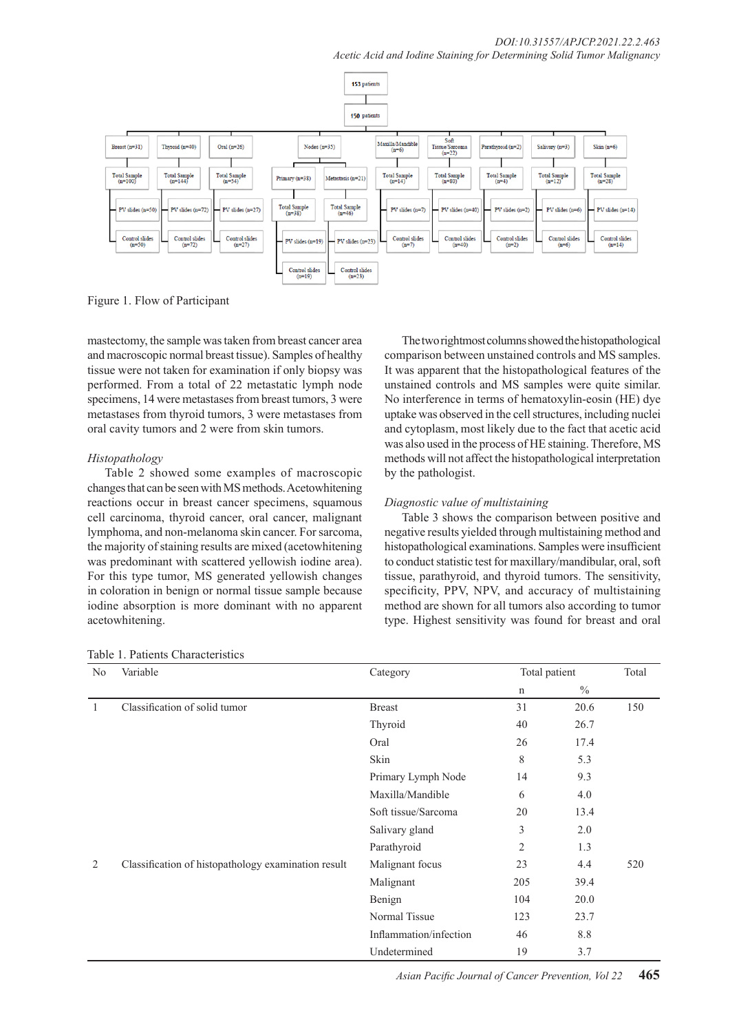

Figure 1. Flow of Participant

mastectomy, the sample was taken from breast cancer area and macroscopic normal breast tissue). Samples of healthy tissue were not taken for examination if only biopsy was performed. From a total of 22 metastatic lymph node specimens, 14 were metastases from breast tumors, 3 were metastases from thyroid tumors, 3 were metastases from oral cavity tumors and 2 were from skin tumors.

## *Histopathology*

Table 2 showed some examples of macroscopic changes that can be seen with MS methods. Acetowhitening reactions occur in breast cancer specimens, squamous cell carcinoma, thyroid cancer, oral cancer, malignant lymphoma, and non-melanoma skin cancer. For sarcoma, the majority of staining results are mixed (acetowhitening was predominant with scattered yellowish iodine area). For this type tumor, MS generated yellowish changes in coloration in benign or normal tissue sample because iodine absorption is more dominant with no apparent acetowhitening.

The two rightmost columns showed the histopathological comparison between unstained controls and MS samples. It was apparent that the histopathological features of the unstained controls and MS samples were quite similar. No interference in terms of hematoxylin-eosin (HE) dye uptake was observed in the cell structures, including nuclei and cytoplasm, most likely due to the fact that acetic acid was also used in the process of HE staining. Therefore, MS methods will not affect the histopathological interpretation by the pathologist.

## *Diagnostic value of multistaining*

Table 3 shows the comparison between positive and negative results yielded through multistaining method and histopathological examinations. Samples were insufficient to conduct statistic test for maxillary/mandibular, oral, soft tissue, parathyroid, and thyroid tumors. The sensitivity, specificity, PPV, NPV, and accuracy of multistaining method are shown for all tumors also according to tumor type. Highest sensitivity was found for breast and oral

| No | Variable                                            | Category               | Total patient  |               | Total |
|----|-----------------------------------------------------|------------------------|----------------|---------------|-------|
|    |                                                     |                        | $\mathbf n$    | $\frac{0}{0}$ |       |
|    | Classification of solid tumor                       | <b>Breast</b>          | 31             | 20.6          | 150   |
|    |                                                     | Thyroid                | 40             | 26.7          |       |
|    |                                                     | Oral                   | 26             | 17.4          |       |
|    |                                                     | Skin                   | 8              | 5.3           |       |
|    |                                                     | Primary Lymph Node     | 14             | 9.3           |       |
|    |                                                     | Maxilla/Mandible       | 6              | 4.0           |       |
|    |                                                     | Soft tissue/Sarcoma    | 20             | 13.4          |       |
|    |                                                     | Salivary gland         | 3              | 2.0           |       |
|    |                                                     | Parathyroid            | $\overline{2}$ | 1.3           |       |
| 2  | Classification of histopathology examination result | Malignant focus        | 23             | 4.4           | 520   |
|    |                                                     | Malignant              | 205            | 39.4          |       |
|    |                                                     | Benign                 | 104            | 20.0          |       |
|    |                                                     | Normal Tissue          | 123            | 23.7          |       |
|    |                                                     | Inflammation/infection | 46             | 8.8           |       |
|    |                                                     | Undetermined           | 19             | 3.7           |       |

Table 1. Patients Characteristics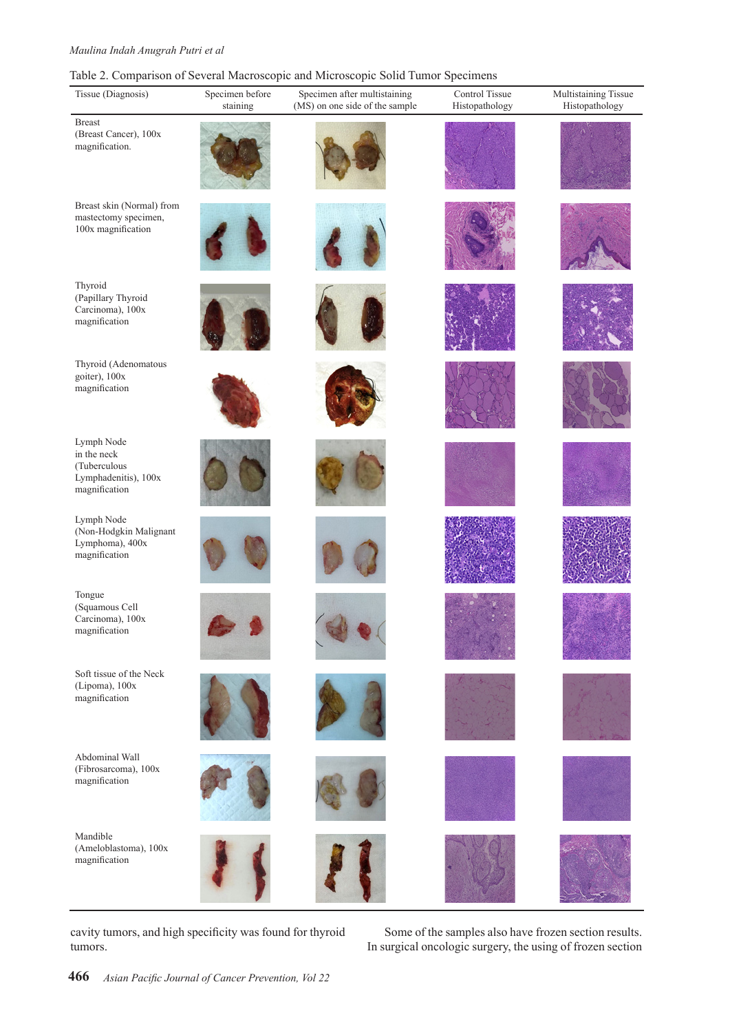### *Maulina Indah Anugrah Putri et al*

## Table 2. Comparison of Several Macroscopic and Microscopic Solid Tumor Specimens

| Tissue (Diagnosis)                                                                 | Specimen before<br>staining | Specimen after multistaining<br>(MS) on one side of the sample | Control Tissue<br>Histopathology | Multistaining Tissue<br>Histopathology |
|------------------------------------------------------------------------------------|-----------------------------|----------------------------------------------------------------|----------------------------------|----------------------------------------|
| <b>Breast</b><br>(Breast Cancer), 100x<br>magnification.                           |                             |                                                                |                                  |                                        |
| Breast skin (Normal) from<br>mastectomy specimen,<br>100x magnification            |                             |                                                                |                                  |                                        |
| Thyroid<br>(Papillary Thyroid<br>Carcinoma), 100x<br>magnification                 |                             |                                                                |                                  |                                        |
| Thyroid (Adenomatous<br>goiter), 100x<br>magnification                             |                             |                                                                |                                  |                                        |
| Lymph Node<br>in the neck<br>(Tuberculous<br>Lymphadenitis), 100x<br>magnification |                             |                                                                |                                  |                                        |
| Lymph Node<br>(Non-Hodgkin Malignant<br>Lymphoma), 400x<br>magnification           |                             |                                                                |                                  |                                        |
| Tongue<br>(Squamous Cell<br>Carcinoma), 100x<br>magnification                      |                             |                                                                |                                  |                                        |
| Soft tissue of the Neck<br>(Lipoma), 100x<br>magnification                         |                             |                                                                |                                  |                                        |
| Abdominal Wall<br>(Fibrosarcoma), 100x<br>magnification                            |                             |                                                                |                                  |                                        |
| Mandible<br>(Ameloblastoma), 100x<br>magnification                                 |                             |                                                                |                                  |                                        |

cavity tumors, and high specificity was found for thyroid tumors.

Some of the samples also have frozen section results. In surgical oncologic surgery, the using of frozen section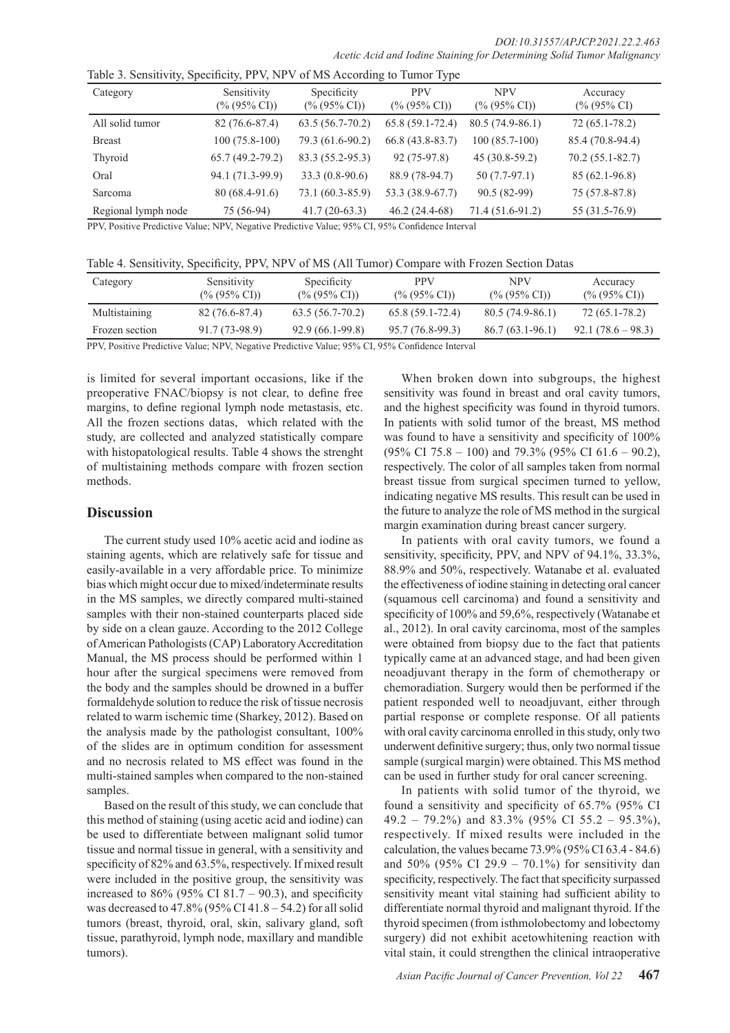| Category            | Sensitivity<br>$(\% (95\% \text{ CI}))$ | Specificity<br>$(\% (95\% \text{ CI}))$ | <b>PPV</b><br>$(\% (95\% \text{ CI}))$ | <b>NPV</b><br>$(\% (95\% \text{ CI}))$ | Accuracy<br>$(\% (95\% \text{ CI})$ |
|---------------------|-----------------------------------------|-----------------------------------------|----------------------------------------|----------------------------------------|-------------------------------------|
| All solid tumor     | 82 (76.6-87.4)                          | $63.5(56.7-70.2)$                       | $65.8(59.1-72.4)$                      | $80.5(74.9-86.1)$                      | $72(65.1 - 78.2)$                   |
| <b>Breast</b>       | $100(75.8-100)$                         | 79.3 (61.6-90.2)                        | $66.8(43.8-83.7)$                      | $100(85.7-100)$                        | 85.4 (70.8-94.4)                    |
| Thyroid             | $65.7(49.2-79.2)$                       | 83.3 (55.2-95.3)                        | $92(75-97.8)$                          | $45(30.8-59.2)$                        | $70.2(55.1 - 82.7)$                 |
| Oral                | 94.1 (71.3-99.9)                        | $33.3(0.8-90.6)$                        | 88.9 (78-94.7)                         | $50(7.7-97.1)$                         | 85 (62.1-96.8)                      |
| Sarcoma             | 80 (68.4-91.6)                          | 73.1 (60.3-85.9)                        | 53.3 (38.9-67.7)                       | 90.5 (82-99)                           | 75 (57.8-87.8)                      |
| Regional lymph node | 75 (56-94)                              | $41.7(20-63.3)$                         | $46.2(24.4-68)$                        | $71.4(51.6-91.2)$                      | 55 (31.5-76.9)                      |

PPV, Positive Predictive Value; NPV, Negative Predictive Value; 95% CI, 95% Confidence Interval

| Table 4. Sensitivity, Specificity, PPV, NPV of MS (All Tumor) Compare with Frozen Section Datas |  |  |  |
|-------------------------------------------------------------------------------------------------|--|--|--|
|-------------------------------------------------------------------------------------------------|--|--|--|

| Category       | Sensitivity<br>$(\% (95\% \text{ CI}))$ | Specificity<br>$(\% (95\% \text{ CI}))$                                                                                                                                                                                                                                                                                                                                                                                                                     | <b>PPV</b><br>$(\% (95\% \text{ CI}))$ | NPV<br>$(\% (95\% \text{ CI}))$ | Accuracy<br>$(\% (95\% \text{ CI}))$ |
|----------------|-----------------------------------------|-------------------------------------------------------------------------------------------------------------------------------------------------------------------------------------------------------------------------------------------------------------------------------------------------------------------------------------------------------------------------------------------------------------------------------------------------------------|----------------------------------------|---------------------------------|--------------------------------------|
| Multistaining  | 82 (76.6-87.4)                          | $63.5(56.7-70.2)$                                                                                                                                                                                                                                                                                                                                                                                                                                           | $65.8(59.1-72.4)$                      | 80.5 (74.9-86.1)                | $72(65.1 - 78.2)$                    |
| Frozen section | 91.7 (73-98.9)                          | 92.9 (66.1-99.8)                                                                                                                                                                                                                                                                                                                                                                                                                                            | 95.7 (76.8-99.3)                       | 86.7 (63.1-96.1)                | $92.1(78.6-98.3)$                    |
| $\mathbf{m}$   |                                         | $\mathcal{L}(\mathcal{L}(\mathcal{L}(\mathcal{L}(\mathcal{L}(\mathcal{L}(\mathcal{L}(\mathcal{L}(\mathcal{L}(\mathcal{L}(\mathcal{L}(\mathcal{L}(\mathcal{L}(\mathcal{L}(\mathcal{L}(\mathcal{L}(\mathcal{L}(\mathcal{L}(\mathcal{L}(\mathcal{L}(\mathcal{L}(\mathcal{L}(\mathcal{L}(\mathcal{L}(\mathcal{L}(\mathcal{L}(\mathcal{L}(\mathcal{L}(\mathcal{L}(\mathcal{L}(\mathcal{L}(\mathcal{L}(\mathcal{L}(\mathcal{L}(\mathcal{L}(\mathcal{L}(\mathcal{$ |                                        |                                 |                                      |

PPV, Positive Predictive Value; NPV, Negative Predictive Value; 95% CI, 95% Confidence Interval

is limited for several important occasions, like if the preoperative FNAC/biopsy is not clear, to define free margins, to define regional lymph node metastasis, etc. All the frozen sections datas, which related with the study, are collected and analyzed statistically compare with histopatological results. Table 4 shows the strenght of multistaining methods compare with frozen section methods.

#### **Discussion**

The current study used 10% acetic acid and iodine as staining agents, which are relatively safe for tissue and easily-available in a very affordable price. To minimize bias which might occur due to mixed/indeterminate results in the MS samples, we directly compared multi-stained samples with their non-stained counterparts placed side by side on a clean gauze. According to the 2012 College of American Pathologists (CAP) Laboratory Accreditation Manual, the MS process should be performed within 1 hour after the surgical specimens were removed from the body and the samples should be drowned in a buffer formaldehyde solution to reduce the risk of tissue necrosis related to warm ischemic time (Sharkey, 2012). Based on the analysis made by the pathologist consultant, 100% of the slides are in optimum condition for assessment and no necrosis related to MS effect was found in the multi-stained samples when compared to the non-stained samples.

Based on the result of this study, we can conclude that this method of staining (using acetic acid and iodine) can be used to differentiate between malignant solid tumor tissue and normal tissue in general, with a sensitivity and specificity of 82% and 63.5%, respectively. If mixed result were included in the positive group, the sensitivity was increased to  $86\%$  (95% CI 81.7 – 90.3), and specificity was decreased to  $47.8\%$  (95% CI  $41.8 - 54.2$ ) for all solid tumors (breast, thyroid, oral, skin, salivary gland, soft tissue, parathyroid, lymph node, maxillary and mandible tumors).

When broken down into subgroups, the highest sensitivity was found in breast and oral cavity tumors, and the highest specificity was found in thyroid tumors. In patients with solid tumor of the breast, MS method was found to have a sensitivity and specificity of 100% (95% CI 75.8 – 100) and 79.3% (95% CI 61.6 – 90.2), respectively. The color of all samples taken from normal breast tissue from surgical specimen turned to yellow, indicating negative MS results. This result can be used in the future to analyze the role of MS method in the surgical margin examination during breast cancer surgery.

In patients with oral cavity tumors, we found a sensitivity, specificity, PPV, and NPV of 94.1%, 33.3%, 88.9% and 50%, respectively. Watanabe et al. evaluated the effectiveness of iodine staining in detecting oral cancer (squamous cell carcinoma) and found a sensitivity and specificity of 100% and 59,6%, respectively (Watanabe et al., 2012). In oral cavity carcinoma, most of the samples were obtained from biopsy due to the fact that patients typically came at an advanced stage, and had been given neoadjuvant therapy in the form of chemotherapy or chemoradiation. Surgery would then be performed if the patient responded well to neoadjuvant, either through partial response or complete response. Of all patients with oral cavity carcinoma enrolled in this study, only two underwent definitive surgery; thus, only two normal tissue sample (surgical margin) were obtained. This MS method can be used in further study for oral cancer screening.

In patients with solid tumor of the thyroid, we found a sensitivity and specificity of 65.7% (95% CI 49.2 – 79.2%) and 83.3% (95% CI 55.2 – 95.3%), respectively. If mixed results were included in the calculation, the values became 73.9% (95% CI 63.4 - 84.6) and 50% (95% CI 29.9 – 70.1%) for sensitivity dan specificity, respectively. The fact that specificity surpassed sensitivity meant vital staining had sufficient ability to differentiate normal thyroid and malignant thyroid. If the thyroid specimen (from isthmolobectomy and lobectomy surgery) did not exhibit acetowhitening reaction with vital stain, it could strengthen the clinical intraoperative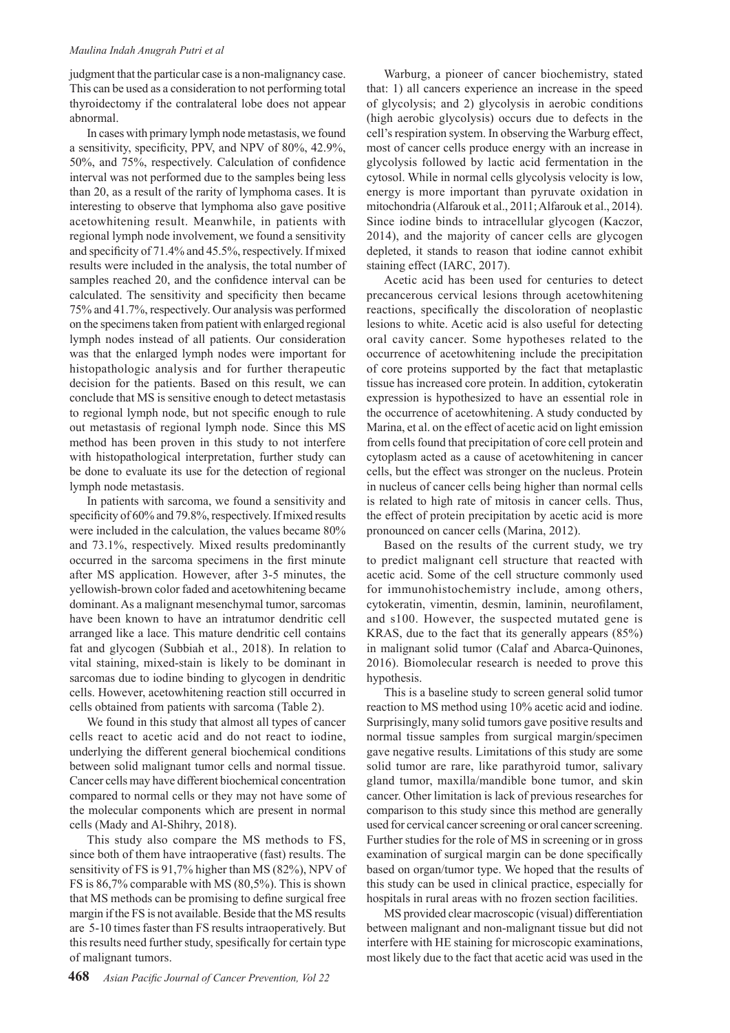#### *Maulina Indah Anugrah Putri et al*

judgment that the particular case is a non-malignancy case. This can be used as a consideration to not performing total thyroidectomy if the contralateral lobe does not appear abnormal.

In cases with primary lymph node metastasis, we found a sensitivity, specificity, PPV, and NPV of 80%, 42.9%, 50%, and 75%, respectively. Calculation of confidence interval was not performed due to the samples being less than 20, as a result of the rarity of lymphoma cases. It is interesting to observe that lymphoma also gave positive acetowhitening result. Meanwhile, in patients with regional lymph node involvement, we found a sensitivity and specificity of 71.4% and 45.5%, respectively. If mixed results were included in the analysis, the total number of samples reached 20, and the confidence interval can be calculated. The sensitivity and specificity then became 75% and 41.7%, respectively. Our analysis was performed on the specimens taken from patient with enlarged regional lymph nodes instead of all patients. Our consideration was that the enlarged lymph nodes were important for histopathologic analysis and for further therapeutic decision for the patients. Based on this result, we can conclude that MS is sensitive enough to detect metastasis to regional lymph node, but not specific enough to rule out metastasis of regional lymph node. Since this MS method has been proven in this study to not interfere with histopathological interpretation, further study can be done to evaluate its use for the detection of regional lymph node metastasis.

In patients with sarcoma, we found a sensitivity and specificity of 60% and 79.8%, respectively. If mixed results were included in the calculation, the values became 80% and 73.1%, respectively. Mixed results predominantly occurred in the sarcoma specimens in the first minute after MS application. However, after 3-5 minutes, the yellowish-brown color faded and acetowhitening became dominant. As a malignant mesenchymal tumor, sarcomas have been known to have an intratumor dendritic cell arranged like a lace. This mature dendritic cell contains fat and glycogen (Subbiah et al., 2018). In relation to vital staining, mixed-stain is likely to be dominant in sarcomas due to iodine binding to glycogen in dendritic cells. However, acetowhitening reaction still occurred in cells obtained from patients with sarcoma (Table 2).

We found in this study that almost all types of cancer cells react to acetic acid and do not react to iodine, underlying the different general biochemical conditions between solid malignant tumor cells and normal tissue. Cancer cells may have different biochemical concentration compared to normal cells or they may not have some of the molecular components which are present in normal cells (Mady and Al-Shihry, 2018).

This study also compare the MS methods to FS, since both of them have intraoperative (fast) results. The sensitivity of FS is 91,7% higher than MS (82%), NPV of FS is 86,7% comparable with MS (80,5%). This is shown that MS methods can be promising to define surgical free margin if the FS is not available. Beside that the MS results are 5-10 times faster than FS results intraoperatively. But this results need further study, spesifically for certain type of malignant tumors.

Warburg, a pioneer of cancer biochemistry, stated that: 1) all cancers experience an increase in the speed of glycolysis; and 2) glycolysis in aerobic conditions (high aerobic glycolysis) occurs due to defects in the cell's respiration system. In observing the Warburg effect, most of cancer cells produce energy with an increase in glycolysis followed by lactic acid fermentation in the cytosol. While in normal cells glycolysis velocity is low, energy is more important than pyruvate oxidation in mitochondria (Alfarouk et al., 2011; Alfarouk et al., 2014). Since iodine binds to intracellular glycogen (Kaczor, 2014), and the majority of cancer cells are glycogen depleted, it stands to reason that iodine cannot exhibit staining effect (IARC, 2017).

Acetic acid has been used for centuries to detect precancerous cervical lesions through acetowhitening reactions, specifically the discoloration of neoplastic lesions to white. Acetic acid is also useful for detecting oral cavity cancer. Some hypotheses related to the occurrence of acetowhitening include the precipitation of core proteins supported by the fact that metaplastic tissue has increased core protein. In addition, cytokeratin expression is hypothesized to have an essential role in the occurrence of acetowhitening. A study conducted by Marina, et al. on the effect of acetic acid on light emission from cells found that precipitation of core cell protein and cytoplasm acted as a cause of acetowhitening in cancer cells, but the effect was stronger on the nucleus. Protein in nucleus of cancer cells being higher than normal cells is related to high rate of mitosis in cancer cells. Thus, the effect of protein precipitation by acetic acid is more pronounced on cancer cells (Marina, 2012).

Based on the results of the current study, we try to predict malignant cell structure that reacted with acetic acid. Some of the cell structure commonly used for immunohistochemistry include, among others, cytokeratin, vimentin, desmin, laminin, neurofilament, and s100. However, the suspected mutated gene is KRAS, due to the fact that its generally appears (85%) in malignant solid tumor (Calaf and Abarca-Quinones, 2016). Biomolecular research is needed to prove this hypothesis.

This is a baseline study to screen general solid tumor reaction to MS method using 10% acetic acid and iodine. Surprisingly, many solid tumors gave positive results and normal tissue samples from surgical margin/specimen gave negative results. Limitations of this study are some solid tumor are rare, like parathyroid tumor, salivary gland tumor, maxilla/mandible bone tumor, and skin cancer. Other limitation is lack of previous researches for comparison to this study since this method are generally used for cervical cancer screening or oral cancer screening. Further studies for the role of MS in screening or in gross examination of surgical margin can be done specifically based on organ/tumor type. We hoped that the results of this study can be used in clinical practice, especially for hospitals in rural areas with no frozen section facilities.

MS provided clear macroscopic (visual) differentiation between malignant and non-malignant tissue but did not interfere with HE staining for microscopic examinations, most likely due to the fact that acetic acid was used in the